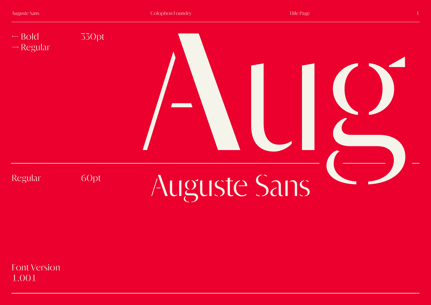

Font Version 1.001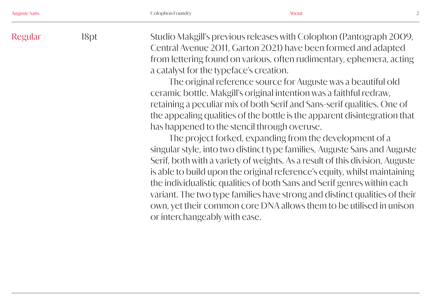Studio Makgill's previous releases with Colophon (Pantograph 2009, Central Avenue 2011, Garton 2021) have been formed and adapted from lettering found on various, often rudimentary, ephemera, acting a catalyst for the typeface's creation. Regular 18pt

The original reference source for Auguste was a beautiful old ceramic bottle. Makgill's original intention was a faithful redraw, retaining a peculiar mix of both Serif and Sans-serif qualities. One of the appealing qualities of the bottle is the apparent disintegration that has happened to the stencil through overuse.

The project forked, expanding from the development of a singular style, into two distinct type families, Auguste Sans and Auguste Serif, both with a variety of weights. As a result of this division, Auguste is able to build upon the original reference's equity, whilst maintaining the individualistic qualities of both Sans and Serif genres within each variant. The two type families have strong and distinct qualities of their own, yet their common core DNA allows them to be utilised in unison or interchangeably with ease.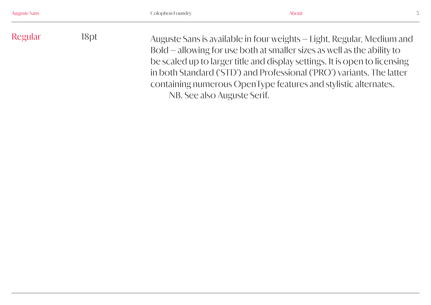Regular 18pt Auguste Sans is available in four weights — Light, Regular, Medium and Bold — allowing for use both at smaller sizes as well as the ability to be scaled up to larger title and display settings. It is open to licensing in both Standard ('STD') and Professional ('PRO') variants. The latter containing numerous OpenType features and stylistic alternates. NB. See also Auguste Serif.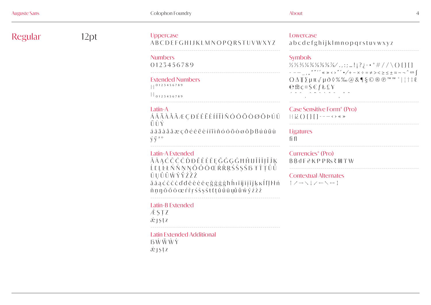| <b>Auguste Sans</b> |  |  |  |
|---------------------|--|--|--|
|                     |  |  |  |

| <b>Auguste Sans</b> |                                                                                                                                                    | Colophon Foundry                                                                        | <b>About</b>                                                                                                                                                                                                                                                                                                                                                                                                                                                                                                                           |
|---------------------|----------------------------------------------------------------------------------------------------------------------------------------------------|-----------------------------------------------------------------------------------------|----------------------------------------------------------------------------------------------------------------------------------------------------------------------------------------------------------------------------------------------------------------------------------------------------------------------------------------------------------------------------------------------------------------------------------------------------------------------------------------------------------------------------------------|
| Regular             | $12$ pt                                                                                                                                            | Uppercase<br>ABCDEFGHIJKLMNOPQRSTUVWXYZ                                                 | Lowercase<br>abcdefghijklmnopqrstuvwxyz                                                                                                                                                                                                                                                                                                                                                                                                                                                                                                |
|                     |                                                                                                                                                    | <b>Numbers</b><br>0123456789                                                            | <b>Symbols</b><br>$\frac{1}{2}$ $\frac{1}{3}$ $\frac{1}{4}$ $\frac{1}{4}$ $\frac{1}{8}$ $\frac{1}{8}$ $\frac{1}{8}$ $\frac{1}{8}$ $\frac{1}{8}$ ; ! $\frac{1}{1}$ ? $\frac{1}{6}$ $\cdot$ * # / / \ () { } [ ]<br>$- -  \frac{1}{2}$ $\frac{1}{2}$ $\frac{1}{2}$ $\frac{1}{2}$ $\frac{1}{2}$ $\frac{1}{2}$ $\frac{1}{2}$ $\frac{1}{2}$ $\frac{1}{2}$ $\frac{1}{2}$ $\frac{1}{2}$ $\frac{1}{2}$ $\frac{1}{2}$ $\frac{1}{2}$ $\frac{1}{2}$ $\frac{1}{2}$ $\frac{1}{2}$ $\frac{1}{2}$ $\frac{1}{2}$ $\frac{1}{2}$ $\frac{1}{2}$ $\frac{1$ |
|                     |                                                                                                                                                    | <b>Extended Numbers</b><br>$\left  - \right $ 0 1 2 3 4 5 6 7 8 9                       | $\theta$ $\theta$ $\cos \theta$ $\theta$ $\sin \theta$                                                                                                                                                                                                                                                                                                                                                                                                                                                                                 |
|                     |                                                                                                                                                    | $\frac{1}{10}$ 0 1 2 3 4 5 6 7 8 9                                                      |                                                                                                                                                                                                                                                                                                                                                                                                                                                                                                                                        |
|                     |                                                                                                                                                    | $Latin-A$<br>ÁÂÄÀÅÃÆÇĐÉÊËÈÍÎÏÌÑÓÔÖÒØÕÞÚÛ<br>ÜÙÝ                                         | Case Sensitive Form <sup>*</sup> (Pro)<br>$\left[\left[\left(\frac{1}{2}\right)\right]\right]$ = - - < > < >                                                                                                                                                                                                                                                                                                                                                                                                                           |
|                     |                                                                                                                                                    | á â ä à å ã æ ç ð é ê ë è í î ï ì ñ ó ô ö ò ø õ þ ß ú û ü ù<br>$\dot{y} \ddot{y}^{a o}$ | <b>Ligatures</b><br>fi fl                                                                                                                                                                                                                                                                                                                                                                                                                                                                                                              |
|                     |                                                                                                                                                    | Latin-A Extended<br>ĂĀĄĆČĈĊĎĐĔĚĖĒĘĞĜĢĠĦĤIJĬİĪĮĨĴĶ                                       | Currencies* (Pro)<br><b>BBdF₴₭₱₽₨₹₪₸₩</b>                                                                                                                                                                                                                                                                                                                                                                                                                                                                                              |
|                     | ĹĽĻĿŁŃŇŅŊŎŐŌŒŔŘŖŚŠŞŜßŦŤŢŬŰ<br>ŪŲŮŨŴŶŸŹŽŻ<br>ă ā a ć č ĉ ċ ď đ ĕ ě ė ē ę ğ ĝ ģ ġ ħ ĥ ı ĭ ij ī į ĩ ĵ ķ ĸ ĺ ľ ļ ŀ ł ń<br>ňņŋŏőōœŕřŗśšşŝttţŭűūụůũŵŷźžż | <b>Contextual Alternates</b><br>↑ノ→ヽ↓ノ←ヽ↔♪                                              |                                                                                                                                                                                                                                                                                                                                                                                                                                                                                                                                        |
|                     |                                                                                                                                                    | Latin-B Extended<br>ÆŞŢZ<br>æjșț≢                                                       |                                                                                                                                                                                                                                                                                                                                                                                                                                                                                                                                        |
|                     |                                                                                                                                                    |                                                                                         |                                                                                                                                                                                                                                                                                                                                                                                                                                                                                                                                        |

Latin Extended Additional I3 Ŵ Ŵ Ŵ Ý ǽ ȷșțƶ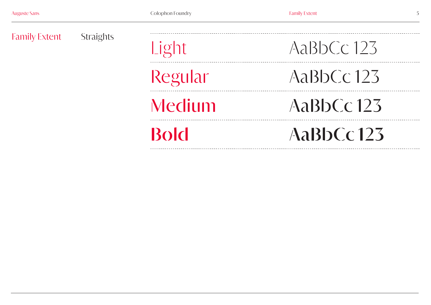| <b>Family Extent</b><br><b>Straights</b> | Light       | ABDCC123      |               |
|------------------------------------------|-------------|---------------|---------------|
|                                          |             | Regular       | $A$ aBbCc 123 |
|                                          |             | Medium        | $A$ aBbCc 123 |
|                                          | <b>Bold</b> | $A$ aBbCc 123 |               |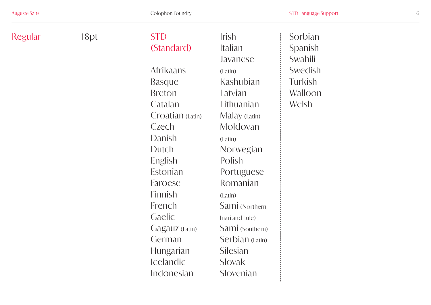| Regular | 18pt | <b>STD</b>       | <i><u><b>Irish</b></u></i> | Sorbian |
|---------|------|------------------|----------------------------|---------|
|         |      | (Standard)       | Italian                    | Spanish |
|         |      |                  | Javanese                   | Swahili |
|         |      | <b>Afrikaans</b> | (Latin)                    | Swedish |
|         |      | <b>Basque</b>    | Kashubian                  | Turkish |
|         |      | <b>Breton</b>    | Latvian                    | Walloon |
|         |      | Catalan          | Lithuanian                 | Welsh   |
|         |      | Croatian (Latin) | Malay (Latin)              |         |
|         |      | Czech            | Moldovan                   |         |
|         |      | Danish           | (Latin)                    |         |
|         |      | Dutch            | Norwegian                  |         |
|         |      | English          | Polish                     |         |
|         |      | Estonian         | Portuguese                 |         |
|         |      | Faroese          | Romanian                   |         |
|         |      | Finnish          | (Latin)                    |         |
|         |      | French           | Sami (Northern,            |         |
|         |      | Gaelic           | Inari and Lule)            |         |
|         |      | Gagatiz (Latin)  | Sami (Southern)            |         |
|         |      | German           | Serbian (Latin)            |         |
|         |      | <b>Hungarian</b> | Silesian                   |         |
|         |      | <b>Icelandic</b> | Slovak                     |         |
|         |      | Indonesian       | Slovenian                  |         |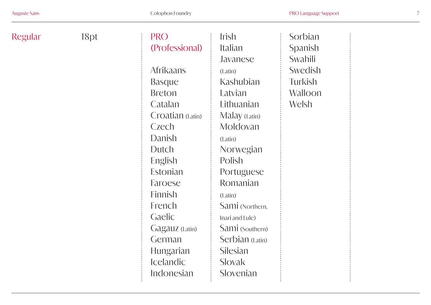| Regular | 18 <sub>pt</sub> | <b>PRO</b>       | <b>Irish</b>    | Sorbian |
|---------|------------------|------------------|-----------------|---------|
|         |                  | (Professional)   | Italian         | Spanish |
|         |                  |                  | Javanese        | Swahili |
|         |                  | <b>Afrikaans</b> | (Latin)         | Swedish |
|         |                  | <b>Basque</b>    | Kashubian       | Turkish |
|         |                  | <b>Breton</b>    | Latvian         | Walloon |
|         |                  | Catalan          | Lithuanian      | Welsh   |
|         |                  | Croatian (Latin) | Malay (Latin)   |         |
|         |                  | Czech            | Moldovan        |         |
|         |                  | Danish           | (Latin)         |         |
|         |                  | Dutch            | Norwegian       |         |
|         |                  | English          | Polish          |         |
|         |                  | Estonian         | Portuguese      |         |
|         |                  | Faroese          | Romanian        |         |
|         |                  | Finnish          | (Latin)         |         |
|         |                  | French           | Sami (Northern, |         |
|         |                  | Gaelic           | Inari and Lule) |         |
|         |                  | Gagatiz (Latin)  | Sami (Southern) |         |
|         |                  | German           | Serbian (Latin) |         |
|         |                  | <b>Hungarian</b> | Silesian        |         |
|         |                  | <b>Icelandic</b> | Slovak          |         |
|         |                  | Indonesian       | Slovenian       |         |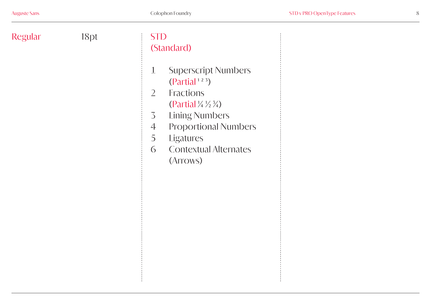| Regular | 18pt | <b>STD</b><br>(Standard)                                                                                                                                                                                                                                                                                                     |
|---------|------|------------------------------------------------------------------------------------------------------------------------------------------------------------------------------------------------------------------------------------------------------------------------------------------------------------------------------|
|         |      | <b>Superscript Numbers</b><br>$\perp$<br>(Partial <sup>123</sup> )<br><b>Fractions</b><br>$\overline{2}$<br>(Partial $\frac{1}{4} \frac{1}{2} \frac{3}{4}$ )<br><b>Lining Numbers</b><br>$\overline{3}$<br><b>Proportional Numbers</b><br>$\angle$<br>5<br><b>Ligatures</b><br><b>Contextual Alternates</b><br>6<br>(Arrows) |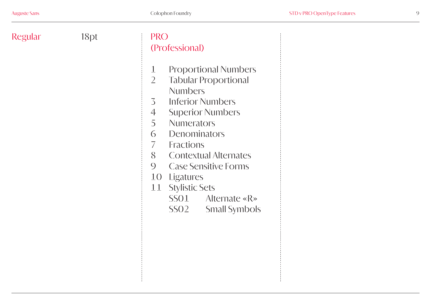| Regular | 18pt | <b>PRO</b><br>(Professional)                                                                                                                                                                                                                                                                                                                                                                                                                                                                      |
|---------|------|---------------------------------------------------------------------------------------------------------------------------------------------------------------------------------------------------------------------------------------------------------------------------------------------------------------------------------------------------------------------------------------------------------------------------------------------------------------------------------------------------|
|         |      | <b>Proportional Numbers</b><br>$\perp$<br>$\overline{2}$<br><b>Tabular Proportional</b><br><b>Numbers</b><br><b>Inferior Numbers</b><br>$\overline{3}$<br>$\angle \}$<br><b>Superior Numbers</b><br>5<br><b>Numerators</b><br>Denominators<br>6<br>$\overline{ }$<br>Fractions<br>8<br><b>Contextual Alternates</b><br>$\overline{O}$<br><b>Case Sensitive Forms</b><br><b>Ligatures</b><br>$10^{-5}$<br><b>Stylistic Sets</b><br>11<br>SSO1<br>Alternate « $R$ »<br>SSO2<br><b>Small Symbols</b> |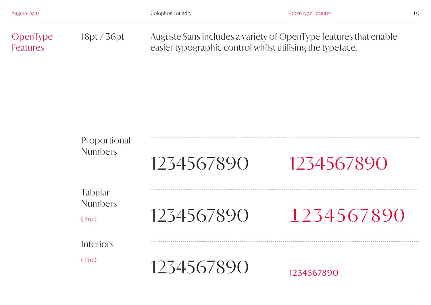| <b>Auguste Sans</b>  |                                           | Colophon Foundry                                          | <b>OpenType Features</b>                                         | $10^{-}$ |
|----------------------|-------------------------------------------|-----------------------------------------------------------|------------------------------------------------------------------|----------|
| OpenType<br>Features | 18pt/36pt                                 | easier typographic control whilst utilising the typeface. | Auguste Sans includes a variety of OpenType features that enable |          |
|                      | Proportional<br><b>Numbers</b>            | 1234567890                                                | 1234567890                                                       |          |
|                      | <b>Tabular</b><br><b>Numbers</b><br>(Pro) | 1234567890                                                | 1234567890                                                       |          |
|                      | Inferiors<br>(Pro)                        | 1234567890                                                | 1234567890                                                       |          |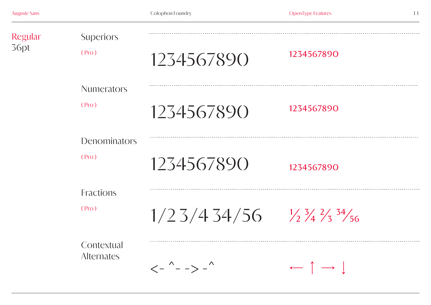| <b>Regular</b><br>36pt | <b>Superiors</b><br>(Pro)       | 1234567890                                                       | 1234567890                                         |
|------------------------|---------------------------------|------------------------------------------------------------------|----------------------------------------------------|
|                        | <b>Numerators</b><br>(Pro)      | 1234567890                                                       | 1234567890                                         |
|                        | <b>Denominators</b><br>(Pro)    | 1234567890                                                       | 1234567890                                         |
|                        | Fractions<br>(Pro)              | $1/23/434/56$ $1/3/43/56$                                        |                                                    |
|                        | Contextual<br><b>Alternates</b> | $\left\langle - \right\rangle - - \right\rangle - \right\rangle$ | $\leftarrow$ $\uparrow$ $\rightarrow$ $\downarrow$ |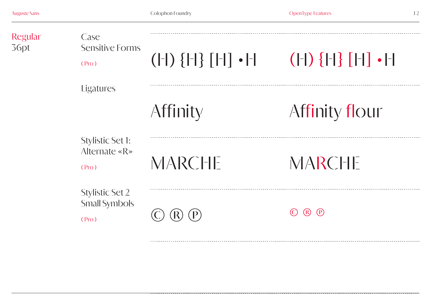<u>------------------</u>

| <b>Regular</b><br>36pt | Case<br>Sensitive Forms<br>(Pro)                        | $( - )$ ${ - }$ ${ - }$ $ $ $ - $ $ $ $ $ | $( - \right)$ $\{ - \}$ $[ - \right]$ $\bullet$ $ - $ |
|------------------------|---------------------------------------------------------|-------------------------------------------|-------------------------------------------------------|
|                        | <b>Ligatures</b>                                        |                                           |                                                       |
|                        |                                                         | Affinity                                  | Affinity flour                                        |
|                        | <b>Stylistic Set 1:</b><br>Alternate « $R$ »<br>(Pro)   | <b>MARCHE</b>                             | <b>NARCHE</b>                                         |
|                        | <b>Stylistic Set 2</b><br><b>Small Symbols</b><br>(Pro) |                                           | (P)<br>(R)                                            |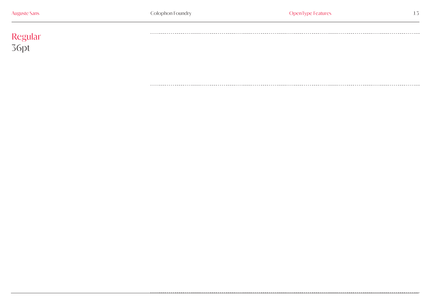# Regular 36pt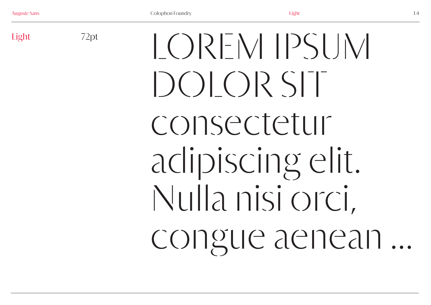72pt

Light  $\frac{72pt}{2}$   $\left[\frac{32pt}{2} \right]$ DOLOR SIT consectetur adipiscing elit. Nulla nisi orci, congue aenean ...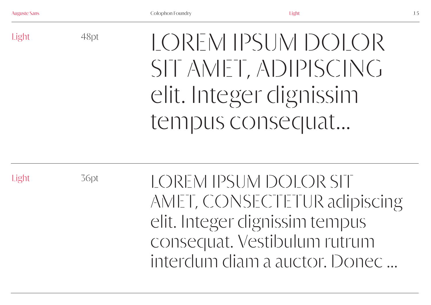Light

LOREM IPSUM DOLOR SIT AMET, ADIPISCING elit. Integer dignissim tempus consequat...

Light

36pt

48pt

LOREM IPSUM DOLOR SIT AMET, CONSECTETUR adipiscing elit. Integer dignissim tempus consequat. Vestibulum rutrum interdum diam a auctor. Donec ...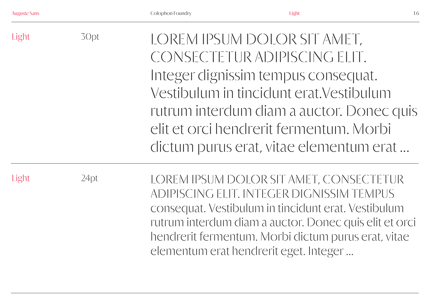|  |  |  | <b>Auguste Sans</b> |
|--|--|--|---------------------|
|  |  |  |                     |

| Light | 30pt    | LOREM IPSUM DOLOR SIT AMET,<br>CONSECTETUR ADIPISCING ELIT.<br>Integer dignissim tempus consequat.<br>Vestibulum in tincidunt erat. Vestibulum<br>rutrum interdum diam a auctor. Donec quis<br>elit et orci hendrerit fermentum. Morbi<br>dictum purus erat, vitae elementum erat                      |
|-------|---------|--------------------------------------------------------------------------------------------------------------------------------------------------------------------------------------------------------------------------------------------------------------------------------------------------------|
| Light | $24$ pt | LOREM IPSUM DOLOR SIT AMET, CONSECTETUR<br>ADIPISCING ELIT. INTEGER DIGNISSIM TEMPUS<br>consequat. Vestibulum in tincidunt erat. Vestibulum<br>rutrum interdum diam a auctor. Donec quis elit et orci<br>hendrerit fermentum. Morbi dictum purus erat, vitae<br>elementum erat hendrerit eget. Integer |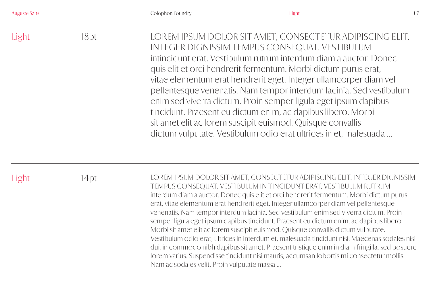| <b>Auguste Sans</b> |  |  |  |
|---------------------|--|--|--|
|                     |  |  |  |

| Light | 18pt. | LOREM IPSUM DOLOR SIT AMET, CONSECTETUR ADIPISCING ELIT.<br>INTEGER DIGNISSIM TEMPUS CONSEQUAT. VESTIBULUM<br>intincidunt erat. Vestibulum rutrum interdum diam a auctor. Donec<br>quis elit et orci hendrerit fermentum. Morbi dictum purus erat,<br>vitae elementum erat hendrerit eget. Integer ullamcorper diam vel<br>pellentesque venenatis. Nam tempor interdum lacinia. Sed vestibulum<br>enim sed viverra dictum. Proin semper ligula eget ipsum dapibus<br>tincidunt. Praesent eu dictum enim, ac dapibus libero. Morbi<br>sit amet elit ac lorem suscipit euismod. Quisque convallis |
|-------|-------|-------------------------------------------------------------------------------------------------------------------------------------------------------------------------------------------------------------------------------------------------------------------------------------------------------------------------------------------------------------------------------------------------------------------------------------------------------------------------------------------------------------------------------------------------------------------------------------------------|
|       |       | dictum vulputate. Vestibulum odio erat ultrices in et, malesuada                                                                                                                                                                                                                                                                                                                                                                                                                                                                                                                                |

Light

14pt LOREM IPSUM DOLOR SIT AMET, CONSECTETUR ADIPISCING ELIT. INTEGER DIGNISSIM TEMPUS CONSEQUAT. VESTIBULUM IN TINCIDUNT ERAT. VESTIBULUM RUTRUM interdum diam a auctor. Donec quis elit et orci hendrerit fermentum. Morbi dictum purus erat, vitae elementum erat hendrerit eget. Integer ullamcorper diam vel pellentesque venenatis. Nam tempor interdum lacinia. Sed vestibulum enim sed viverra dictum. Proin semper ligula eget ipsum dapibus tincidunt. Praesent eu dictum enim, ac dapibus libero. Morbi sit amet elit ac lorem suscipit euismod. Quisque convallis dictum vulputate. Vestibulum odio erat, ultrices in interdum et, malesuada tincidunt nisi. Maecenas sodales nisi dui, in commodo nibh dapibus sit amet. Praesent tristique enim in diam fringilla, sed posuere lorem varius. Suspendisse tincidunt nisi mauris, accumsan lobortis mi consectetur mollis. Nam ac sodales velit. Proin vulputate massa ...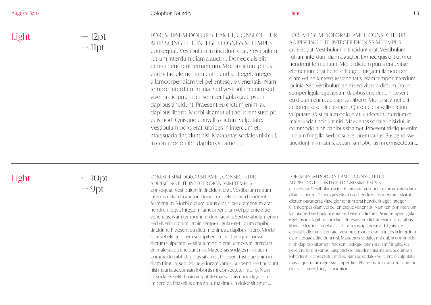← 12pt  $\rightarrow$  11pt

#### LOREM IPSUM DOLOR SIT AMET, CONSECTETUR ADIPISCING ELIT. INTEGER DIGNISSIM TEMPUS

consequat. Vestibulum in tincidunt erat. Vestibulum rutrum interdum diam a auctor. Donec quis elit et orci hendrerit fermentum. Morbi dictum purus erat, vitae elementum erat hendrerit eget. Integer ullamcorper diam vel pellentesque venenatis. Nam tempor interdum lacinia. Sed vestibulum enim sed viverra dictum. Proin semper ligula eget ipsum dapibus tincidunt. Praesent eu dictum enim, ac dapibus libero. Morbi sit amet elit ac lorem suscipit euismod. Quisque convallis dictum vulputate. Vestibulum odio erat, ultrices in interdum et, malesuada tincidunt nisi. Maecenas sodales nisi dui, in commodo nibh dapibus sit amet. ...

# LOREM IPSUM DOLOR SIT AMET, CONSECTETUR ADIPISCING ELIT. INTEGER DIGNISSIM TEMPUS

consequat. Vestibulum in tincidunt erat. Vestibulum rutrum interdum diam a auctor. Donec quis elit et orci hendrerit fermentum. Morbi dictum purus erat, vitae elementum erat hendrerit eget. Integer ullamcorper diam vel pellentesque venenatis. Nam tempor interdum lacinia. Sed vestibulum enim sed viverra dictum. Proin semper ligula eget ipsum dapibus tincidunt. Praesent eu dictum enim, ac dapibus libero. Morbi sit amet elit ac lorem suscipit euismod. Quisque convallis dictum vulputate. Vestibulum odio erat, ultrices in interdum et, malesuada tincidunt nisi. Maecenas sodales nisi dui, in commodo nibh dapibus sit amet. Praesent tristique enim in diam fringilla, sed posuere lorem varius. Suspendisse tincidunt nisi mauris, accumsan lobortis mi consectetur ...

# Light

 $-10pt$  $\rightarrow$  9pt

# LOREM IPSUM DOLOR SIT AMET, CONSECTETUR

ADIPISCING ELIT. INTEGER DIGNISSIM TEMPUS consequat. Vestibulum in tincidunt erat. Vestibulum rutrum interdum diam a auctor. Donec quis elit et orci hendrerit fermentum. Morbi dictum purus erat, vitae elementum erat hendrerit eget. Integer ullamcorper diam vel pellentesque venenatis. Nam tempor interdum lacinia. Sed vestibulum enim sed viverra dictum. Proin semper ligula eget ipsum dapibus tincidunt. Praesent eu dictum enim, ac dapibus libero. Morbi sit amet elit ac lorem suscipit euismod. Quisque convallis dictum vulputate. Vestibulum odio erat, ultrices in interdum et, malesuada tincidunt nisi. Maecenas sodales nisi dui, in commodo nibh dapibus sit amet. Praesent tristique enim in diam fringilla, sed posuere lorem varius. Suspendisse tincidunt nisi mauris, accumsan lobortis mi consectetur mollis. Nam ac sodales velit. Proin vulputate massa quis nunc dignissim imperdiet. Phasellus urna arcu, maximus in dolor sit amet ...

#### LOREM IPSUM DOLOR SIT AMET, CONSECTETUR ADIPISCING ELIT. INTEGER DIGNISSIM TEMPUS

consequat. Vestibulum in tincidunt erat. Vestibulum rutrum interdum diam a auctor. Donec quis elit et orci hendrerit fermentum. Morbi dictum purus erat, vitae elementum erat hendrerit eget. Integer ullamcorper diam vel pellentesque venenatis. Nam tempor interdum lacinia. Sed vestibulum enim sed viverra dictum. Proin semper ligula eget ipsum dapibus tincidunt. Praesent eu dictum enim, ac dapibus libero. Morbi sit amet elit ac lorem suscipit euismod. Quisque convallis dictum vulputate. Vestibulum odio erat, ultrices in interdum et, malesuada tincidunt nisi. Maecenas sodales nisi dui, in commodo nibh dapibus sit amet. Praesent tristique enim in diam fringilla, sed posuere lorem varius. Suspendisse tincidunt nisi mauris, accumsan lobortis mi consectetur mollis. Nam ac sodales velit. Proin vulputate massa quis nunc dignissim imperdiet. Phasellus urna arcu, maximus in dolor sit amet, fringilla porttitor ...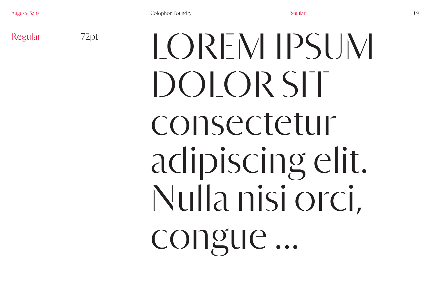72pt

# Regular 72pt  $|OQRFWHSP$ DOLOR SIT consectetur adipiscing elit. Nulla nisi orci, congue ...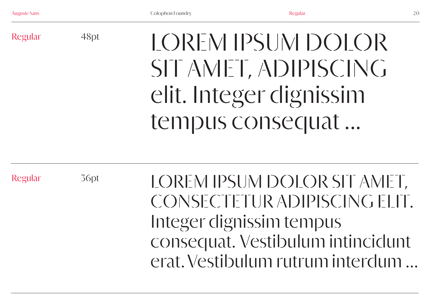Regular

LOREM IPSUM DOLOR SIT AMET, ADIPISCING elit. Integer dignissim tempus consequat ...

Regular

36pt

48pt

LOREM IPSUM DOLOR SIT AMET, CONSECTETUR ADIPISCING ELIT. Integer dignissim tempus consequat. Vestibulum intincidunt erat. Vestibulum rutrum interdum ...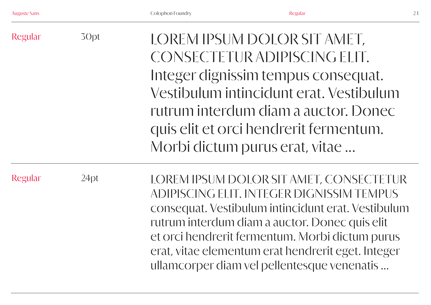erat, vitae elementum erat hendrerit eget. Integer

ullamcorper diam vel pellentesque venenatis ...

| Regular        | 30pt | LOREM IPSUM DOLOR SIT AMET,<br>CONSECTETUR ADIPISCING ELIT.<br>Integer dignissim tempus consequat.<br>Vestibulum intincidunt erat. Vestibulum<br>rutrum interdum diam a auctor. Donec<br>quis elit et orci hendrerit fermentum.<br>Morbi dictum purus erat, vitae |
|----------------|------|-------------------------------------------------------------------------------------------------------------------------------------------------------------------------------------------------------------------------------------------------------------------|
| <b>Regular</b> | 24pt | LOREM IPSUM DOLOR SIT AMET, CONSECTETUR<br>ADIPISCING ELIT. INTEGER DIGNISSIM TEMPUS<br>consequat. Vestibulum intincidunt erat. Vestibulum<br>rutrum interdum diam a auctor. Donec quis elit<br>et orci hendrerit fermentum. Morbi dictum purus                   |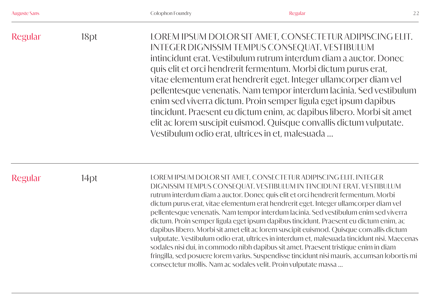|  |  | <b>Auguste Sans</b> |  |
|--|--|---------------------|--|
|  |  |                     |  |
|  |  |                     |  |

| Regular | 18pt | LOREM IPSUM DOLOR SIT AMET, CONSECTETUR ADIPISCING ELIT.<br>INTEGER DIGNISSIM TEMPUS CONSEQUAT. VESTIBULUM<br>intincidunt erat. Vestibulum rutrum interdum diam a auctor. Donec<br>quis elit et orci hendrerit fermentum. Morbi dictum purus erat,<br>vitae elementum erat hendrerit eget. Integer ullamcorper diam vel<br>pellentesque venenatis. Nam tempor interdum lacinia. Sed vestibulum<br>enim sed viverra dictum. Proin semper ligula eget ipsum dapibus<br>tincidunt. Praesent eu dictum enim, ac dapibus libero. Morbi sit amet<br>elit ac lorem suscipit euismod. Quisque convallis dictum vulputate. |
|---------|------|-------------------------------------------------------------------------------------------------------------------------------------------------------------------------------------------------------------------------------------------------------------------------------------------------------------------------------------------------------------------------------------------------------------------------------------------------------------------------------------------------------------------------------------------------------------------------------------------------------------------|
|         |      | Vestibulum odio erat, ultrices in et, malesuada                                                                                                                                                                                                                                                                                                                                                                                                                                                                                                                                                                   |

Regular

14pt LOREM IPSUM DOLOR SIT AMET, CONSECTETUR ADIPISCING ELIT. INTEGER DIGNISSIM TEMPUS CONSEQUAT. VESTIBULUM IN TINCIDUNT ERAT. VESTIBULUM rutrum interdum diam a auctor. Donec quis elit et orci hendrerit fermentum. Morbi dictum purus erat, vitae elementum erat hendrerit eget. Integer ullamcorper diam vel pellentesque venenatis. Nam tempor interdum lacinia. Sed vestibulum enim sed viverra dictum. Proin semper ligula eget ipsum dapibus tincidunt. Praesent eu dictum enim, ac dapibus libero. Morbi sit amet elit ac lorem suscipit euismod. Quisque convallis dictum vulputate. Vestibulum odio erat, ultrices in interdum et, malesuada tincidunt nisi. Maecenas sodales nisi dui, in commodo nibh dapibus sit amet. Praesent tristique enim in diam fringilla, sed posuere lorem varius. Suspendisse tincidunt nisi mauris, accumsan lobortis mi consectetur mollis. Nam ac sodales velit. Proin vulputate massa ...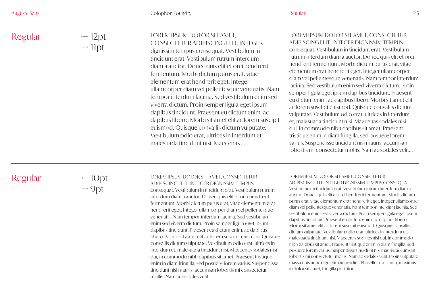# LOREM IPSUM DOLOR SIT AMET, CONSECTETUR ADIPISCING ELIT. INTEGER

dignissim tempus consequat. Vestibulum in tincidunt erat. Vestibulum rutrum interdum diam a auctor. Donec quis elit et orci hendrerit fermentum. Morbi dictum purus erat, vitae elementum erat hendrerit eget. Integer ullamcorper diam vel pellentesque venenatis. Nam tempor interdum lacinia. Sed vestibulum enim sed viverra dictum. Proin semper ligula eget ipsum dapibus tincidunt. Praesent eu dictum enim, ac dapibus libero. Morbi sit amet elit ac lorem suscipit euismod. Quisque convallis dictum vulputate. Vestibulum odio erat, ultrices in interdum et, malesuada tincidunt nisi. Maecenas ...

# LOREM IPSUM DOLOR SIT AMET, CONSECTETUR ADIPISCING ELIT. INTEGER DIGNISSIM TEMPUS

consequat. Vestibulum in tincidunt erat. Vestibulum rutrum interdum diam a auctor. Donec quis elit et orci hendrerit fermentum. Morbi dictum purus erat, vitae elementum erat hendrerit eget. Integer ullamcorper diam vel pellentesque venenatis. Nam tempor interdum lacinia. Sed vestibulum enim sed viverra dictum. Proin semper ligula eget ipsum dapibus tincidunt. Praesent eu dictum enim, ac dapibus libero. Morbi sit amet elit ac lorem suscipit euismod. Quisque convallis dictum vulputate. Vestibulum odio erat, ultrices in interdum et, malesuada tincidunt nisi. Maecenas sodales nisi dui, in commodo nibh dapibus sit amet. Praesent tristique enim in diam fringilla, sed posuere lorem varius. Suspendisse tincidunt nisi mauris, accumsan lobortis mi consectetur mollis. Nam ac sodales velit...

# Regular

 $-10pt$  $\rightarrow$  9pt

#### LOREM IPSUM DOLOR SIT AMET, CONSECTETUR ADIPISCING ELIT. INTEGER DIGNISSIM TEMPUS

consequat. Vestibulum in tincidunt erat. Vestibulum rutrum interdum diam a auctor. Donec quis elit et orci hendrerit fermentum. Morbi dictum purus erat, vitae elementum erat hendrerit eget. Integer ullamcorper diam vel pellentesque venenatis. Nam tempor interdum lacinia. Sed vestibulum enim sed viverra dictum. Proin semper ligula eget ipsum dapibus tincidunt. Praesent eu dictum enim, ac dapibus libero. Morbi sit amet elit ac lorem suscipit euismod. Quisque convallis dictum vulputate. Vestibulum odio erat, ultrices in interdum et, malesuada tincidunt nisi. Maecenas sodales nisi dui, in commodo nibh dapibus sit amet. Praesent tristique enim in diam fringilla, sed posuere lorem varius. Suspendisse tincidunt nisi mauris, accumsan lobortis mi consectetur mollis. Nam ac sodales velit ...

#### LOREM IPSUM DOLOR SIT AMET, CONSECTETUR

ADIPISCING ELIT. INTEGER DIGNISSIM TEMPUS CONSEQUAT. Vestibulum in tincidunt erat. Vestibulum rutrum interdum diam a auctor. Donec quis elit et orci hendrerit fermentum. Morbi dictum purus erat, vitae elementum erat hendrerit eget. Integer ullamcorper diam vel pellentesque venenatis. Nam tempor interdum lacinia. Sed vestibulum enim sed viverra dictum. Proin semper ligula eget ipsum dapibus tincidunt. Praesent eu dictum enim, ac dapibus libero. Morbi sit amet elit ac lorem suscipit euismod. Quisque convallis dictum vulputate. Vestibulum odio erat, ultrices in interdum et, malesuada tincidunt nisi. Maecenas sodales nisi dui, in commodo nibh dapibus sit amet. Praesent tristique enim in diam fringilla, sed posuere lorem varius. Suspendisse tincidunt nisi mauris, accumsan lobortis mi consectetur mollis. Nam ac sodales velit. Proin vulputate massa quis nunc dignissim imperdiet. Phasellus urna arcu, maximus in dolor sit amet, fringilla porttitor ...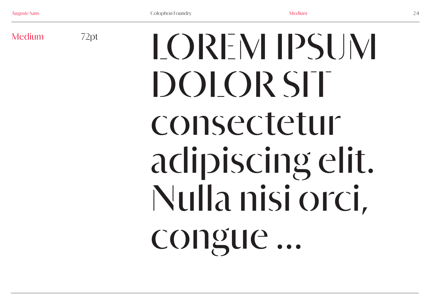72pt

# Medium 72pt  $\bigcap_{\mathcal{P}}$   $\bigcap_{\mathcal{P}}$   $\bigcap_{\mathcal{P}}$   $\bigcap_{\mathcal{P}}$   $\bigcap_{\mathcal{P}}$   $\bigcap_{\mathcal{P}}$   $\bigcap_{\mathcal{P}}$   $\bigcap_{\mathcal{P}}$   $\bigcap_{\mathcal{P}}$   $\bigcap_{\mathcal{P}}$   $\bigcap_{\mathcal{P}}$   $\bigcap_{\mathcal{P}}$   $\bigcap_{\mathcal{P}}$   $\bigcap_{\mathcal{P}}$   $\bigcap_{\mathcal{P}}$   $\bigcap_{\mathcal{P}}$   $\$ DOLOR SIT consectetur adipiscing elit. Nulla nisi orci, congue...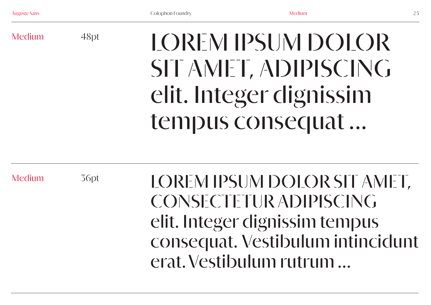Medium

LOREM IPSUM DOLOR SIT AMET, ADIPISCING elit. Integer dignissim tempus consequat ...

Medium

36pt

48pt

LOREM IPSUM DOLOR SIT AMET, CONSECTETUR ADIPISCING elit. Integer dignissim tempus consequat. Vestibulum intincidunt erat. Vestibulum rutrum ...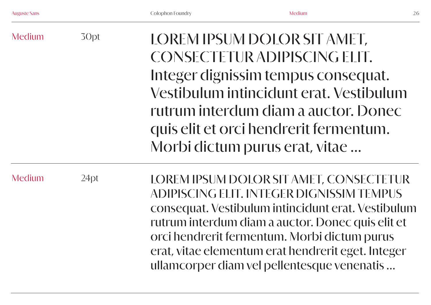| Medium | 30pt | LOREM IPSUM DOLOR SIT AMET,<br>CONSECTETUR ADIPISCING ELIT.<br>Integer dignissim tempus consequat.<br>Vestibulum intincidunt erat. Vestibulum<br>rutrum interdum diam a auctor. Donec<br>quis elit et orci hendrerit fermentum.<br>Morbi dictum purus erat, vitae                                                                                    |
|--------|------|------------------------------------------------------------------------------------------------------------------------------------------------------------------------------------------------------------------------------------------------------------------------------------------------------------------------------------------------------|
| Medium | 24pt | LOREM IPSUM DOLOR SIT AMET, CONSECTETUR<br>ADIPISCING ELIT. INTEGER DIGNISSIM TEMPUS<br>consequat. Vestibulum intincidunt erat. Vestibulum<br>rutrum interdum diam a auctor. Donec quis elit et<br>orci hendrerit fermentum. Morbi dictum purus<br>erat, vitae elementum erat hendrerit eget. Integer<br>ullamcorper diam vel pellentesque venenatis |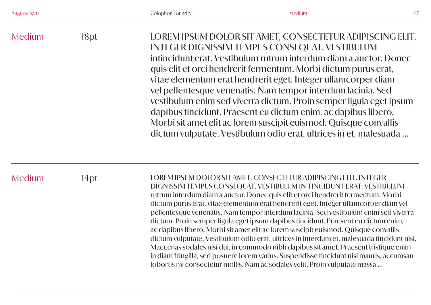|  | intincidunt erat. Vestibulum rutrum interdum diam a auctor. Donec<br>quis elit et orci hendrerit fermentum. Morbi dictum purus erat,<br>vitae elementum erat hendrerit eget. Integer ullamcorper diam<br>vel pellentesque venenatis. Nam tempor interdum lacinia. Sed<br>vestibulum enim sed viverra dictum. Proin semper ligula eget ipsum<br>dapibus tincidunt. Praesent eu dictum enim, ac dapibus libero.<br>Morbi sit amet elit ac lorem suscipit euismod. Quisque convallis<br>dictum vulputate. Vestibulum odio erat, ultrices in et, malesuada |
|--|--------------------------------------------------------------------------------------------------------------------------------------------------------------------------------------------------------------------------------------------------------------------------------------------------------------------------------------------------------------------------------------------------------------------------------------------------------------------------------------------------------------------------------------------------------|
|--|--------------------------------------------------------------------------------------------------------------------------------------------------------------------------------------------------------------------------------------------------------------------------------------------------------------------------------------------------------------------------------------------------------------------------------------------------------------------------------------------------------------------------------------------------------|

Medium

14pt LOREM IPSUM DOLOR SIT AMET, CONSECTETUR ADIPISCING ELIT. INTEGER DIGNISSIM TEMPUS CONSEQUAT. VESTIBULUM IN TINCIDUNT ERAT. VESTIBULUM rutrum interdum diam a auctor. Donec quis elit et orci hendrerit fermentum. Morbi dictum purus erat, vitae elementum erat hendrerit eget. Integer ullamcorper diam vel pellentesque venenatis. Nam tempor interdum lacinia. Sed vestibulum enim sed viverra dictum. Proin semper ligula eget ipsum dapibus tincidunt. Praesent eu dictum enim, ac dapibus libero. Morbi sit amet elit ac lorem suscipit euismod. Quisque convallis dictum vulputate. Vestibulum odio erat, ultrices in interdum et, malesuada tincidunt nisi. Maecenas sodales nisi dui, in commodo nibh dapibus sit amet. Praesent tristique enim in diam fringilla, sed posuere lorem varius. Suspendisse tincidunt nisi mauris, accumsan lobortis mi consectetur mollis. Nam ac sodales velit. Proin vulputate massa ...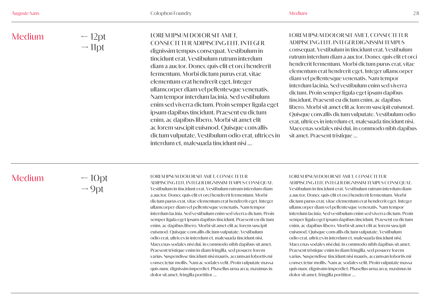← 12pt  $\rightarrow$  11pt

### LOREM IPSUM DOLOR SIT AMET, CONSECTETUR ADIPISCING ELIT. INTEGER

dignissim tempus consequat. Vestibulum in tincidunt erat. Vestibulum rutrum interdum diam a auctor. Donec quis elit et orci hendrerit fermentum. Morbi dictum purus erat, vitae elementum erat hendrerit eget. Integer ullamcorper diam vel pellentesque venenatis. Nam tempor interdum lacinia. Sed vestibulum enim sed viverra dictum. Proin semper ligula eget ipsum dapibus tincidunt. Praesent eu dictum enim, ac dapibus libero. Morbi sit amet elit ac lorem suscipit euismod. Quisque convallis dictum vulputate. Vestibulum odio erat, ultrices in interdum et, malesuada tincidunt nisi ...

### LOREM IPSUM DOLOR SIT AMET, CONSECTETUR ADIPISCING ELIT. INTEGER DIGNISSIM TEMPUS

consequat. Vestibulum in tincidunt erat. Vestibulum rutrum interdum diam a auctor. Donec quis elit et orci hendrerit fermentum. Morbi dictum purus erat, vitae elementum erat hendrerit eget. Integer ullamcorper diam vel pellentesque venenatis. Nam tempor interdum lacinia. Sed vestibulum enim sed viverra dictum. Proin semper ligula eget ipsum dapibus tincidunt. Praesent eu dictum enim, ac dapibus libero. Morbi sit amet elit ac lorem suscipit euismod. Quisque convallis dictum vulputate. Vestibulum odio erat, ultrices in interdum et, malesuada tincidunt nisi. Maecenas sodales nisi dui, in commodo nibh dapibus sit amet. Praesent tristique ...

# Medium

 $-10pt$  $\rightarrow$  9pt

#### LOREM IPSUM DOLOR SIT AMET, CONSECTETUR

ADIPISCING ELIT. INTEGER DIGNISSIM TEMPUS CONSEQUAT. Vestibulum in tincidunt erat. Vestibulum rutrum interdum diam a auctor. Donec quis elit et orci hendrerit fermentum. Morbi dictum purus erat, vitae elementum erat hendrerit eget. Integer ullamcorper diam vel pellentesque venenatis. Nam tempor interdum lacinia. Sed vestibulum enim sed viverra dictum. Proin semper ligula eget ipsum dapibus tincidunt. Praesent eu dictum enim, ac dapibus libero. Morbi sit amet elit ac lorem suscipit euismod. Quisque convallis dictum vulputate. Vestibulum odio erat, ultrices in interdum et, malesuada tincidunt nisi. Maecenas sodales nisi dui, in commodo nibh dapibus sit amet. Praesent tristique enim in diam fringilla, sed posuere lorem varius. Suspendisse tincidunt nisi mauris, accumsan lobortis mi consectetur mollis. Nam ac sodales velit. Proin vulputate massa quis nunc dignissim imperdiet. Phasellus urna arcu, maximus in dolor sit amet, fringilla porttitor ...

#### LOREM IPSUM DOLOR SIT AMET, CONSECTETUR

ADIPISCING ELIT. INTEGER DIGNISSIM TEMPUS CONSEQUAT. Vestibulum in tincidunt erat. Vestibulum rutrum interdum diam a auctor. Donec quis elit et orci hendrerit fermentum. Morbi dictum purus erat, vitae elementum erat hendrerit eget. Integer ullamcorper diam vel pellentesque venenatis. Nam tempor interdum lacinia. Sed vestibulum enim sed viverra dictum. Proin semper ligula eget ipsum dapibus tincidunt. Praesent eu dictum enim, ac dapibus libero. Morbi sit amet elit ac lorem suscipit euismod. Quisque convallis dictum vulputate. Vestibulum odio erat, ultrices in interdum et, malesuada tincidunt nisi. Maecenas sodales nisi dui, in commodo nibh dapibus sit amet. Praesent tristique enim in diam fringilla, sed posuere lorem varius. Suspendisse tincidunt nisi mauris, accumsan lobortis mi consectetur mollis. Nam ac sodales velit. Proin vulputate massa quis nunc dignissim imperdiet. Phasellus urna arcu, maximus in dolor sit amet, fringilla porttitor ...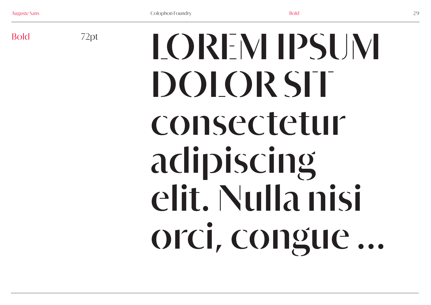72pt

Bold <sup>72pt</sup>  $\blacksquare$  LOREM IPSUM **DOLOR SIT consectetur adipiscing elit. Nulla nisi orci, congue ...**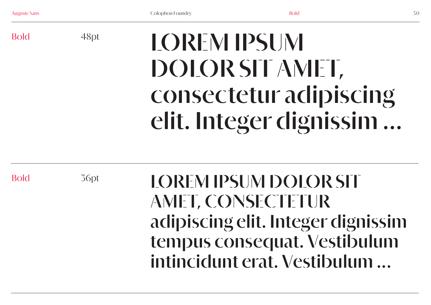Bold

# **LOREM IPSUM DOLOR SIT AMET, consectetur adipiscing elit. Integer dignissim ...**

Bold

36pt

48pt

**LOREM IPSUM DOLOR SIT AMET, CONSECTETUR adipiscing elit. Integer dignissim tempus consequat. Vestibulum intincidunt erat. Vestibulum ...**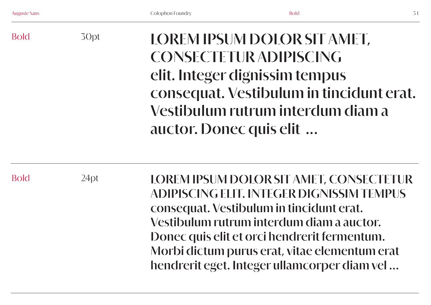# Bold 30pt **LOREM IPSUM DOLOR SIT AMET, CONSECTETUR ADIPISCING elit. Integer dignissim tempus consequat. Vestibulum in tincidunt erat. Vestibulum rutrum interdum diam a auctor. Donec quis elit ...**

Bold

 $24pt$ 

**LOREM IPSUM DOLOR SIT AMET, CONSECTETUR ADIPISCING ELIT. INTEGER DIGNISSIM TEMPUS consequat. Vestibulum in tincidunt erat. Vestibulum rutrum interdum diam a auctor. Donec quis elit et orci hendrerit fermentum. Morbi dictum purus erat, vitae elementum erat hendrerit eget. Integer ullamcorper diam vel ...**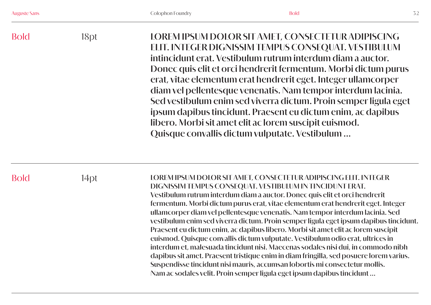| <b>Bold</b> | 18pt | LOREM IPSUM DOLOR SIT AMET, CONSECTETUR ADIPISCING<br>ELIT. INTEGER DIGNISSIM TEMPUS CONSEQUAT. VESTIBULUM<br>intincidunt erat. Vestibulum rutrum interdum diam a auctor.<br>Donec quis elit et orci hendrerit fermentum. Morbi dictum purus<br>erat, vitae elementum erat hendrerit eget. Integer ullamcorper<br>diam vel pellentesque venenatis. Nam tempor interdum lacinia.<br>Sed vestibulum enim sed viverra dictum. Proin semper ligula eget<br>ipsum dapibus tincidunt. Praesent eu dictum enim, ac dapibus<br>libero. Morbi sit amet elit ac lorem suscipit euismod.<br>Quisque convallis dictum vulputate. Vestibulum |
|-------------|------|---------------------------------------------------------------------------------------------------------------------------------------------------------------------------------------------------------------------------------------------------------------------------------------------------------------------------------------------------------------------------------------------------------------------------------------------------------------------------------------------------------------------------------------------------------------------------------------------------------------------------------|
|-------------|------|---------------------------------------------------------------------------------------------------------------------------------------------------------------------------------------------------------------------------------------------------------------------------------------------------------------------------------------------------------------------------------------------------------------------------------------------------------------------------------------------------------------------------------------------------------------------------------------------------------------------------------|

Bold 14pt **LOREM IPSUM DOLOR SIT AMET, CONSECTETUR ADIPISCING ELIT. INTEGER DIGNISSIM TEMPUS CONSEQUAT. VESTIBULUM IN TINCIDUNT ERAT. Vestibulum rutrum interdum diam a auctor. Donec quis elit et orci hendrerit fermentum. Morbi dictum purus erat, vitae elementum erat hendrerit eget. Integer ullamcorper diam vel pellentesque venenatis. Nam tempor interdum lacinia. Sed vestibulum enim sed viverra dictum. Proin semper ligula eget ipsum dapibus tincidunt. Praesent eu dictum enim, ac dapibus libero. Morbi sit amet elit ac lorem suscipit euismod. Quisque convallis dictum vulputate. Vestibulum odio erat, ultrices in interdum et, malesuada tincidunt nisi. Maecenas sodales nisi dui, in commodo nibh dapibus sit amet. Praesent tristique enim in diam fringilla, sed posuere lorem varius. Suspendisse tincidunt nisi mauris, accumsan lobortis mi consectetur mollis. Nam ac sodales velit. Proin semper ligula eget ipsum dapibus tincidunt ...**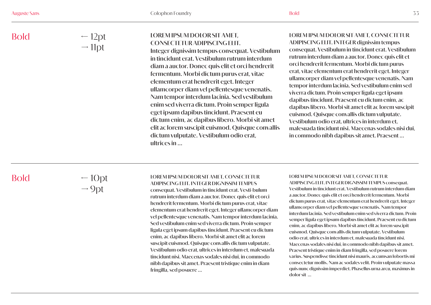← 12pt  $\rightarrow$  11pt

# **LOREM IPSUM DOLOR SIT AMET, CONSECTETUR ADIPISCING ELIT.**

**Integer dignissim tempus consequat. Vestibulum in tincidunt erat. Vestibulum rutrum interdum diam a auctor. Donec quis elit et orci hendrerit fermentum. Morbi dictum purus erat, vitae elementum erat hendrerit eget. Integer ullamcorper diam vel pellentesque venenatis. Nam tempor interdum lacinia. Sed vestibulum enim sed viverra dictum. Proin semper ligula eget ipsum dapibus tincidunt. Praesent eu dictum enim, ac dapibus libero. Morbi sit amet elit ac lorem suscipit euismod. Quisque convallis dictum vulputate. Vestibulum odio erat, ultrices in ...**

# **LOREM IPSUM DOLOR SIT AMET, CONSECTETUR ADIPISCING ELIT. INTEGER dignissim tempus**

**consequat. Vestibulum in tincidunt erat. Vestibulum rutrum interdum diam a auctor. Donec quis elit et orci hendrerit fermentum. Morbi dictum purus erat, vitae elementum erat hendrerit eget. Integer ullamcorper diam vel pellentesque venenatis. Nam tempor interdum lacinia. Sed vestibulum enim sed viverra dictum. Proin semper ligula eget ipsum dapibus tincidunt. Praesent eu dictum enim, ac dapibus libero. Morbi sit amet elit ac lorem suscipit euismod. Quisque convallis dictum vulputate. Vestibulum odio erat, ultrices in interdum et, malesuada tincidunt nisi. Maecenas sodales nisi dui, in commodo nibh dapibus sit amet. Praesent ...**

# Bold

 $-10pt$  $\rightarrow$  9pt

# **LOREM IPSUM DOLOR SIT AMET, CONSECTETUR**

**ADIPISCING ELIT. INTEGER DIGNISSIM TEMPUS consequat. Vestibulum in tincidunt erat. Vesti-bulum rutrum interdum diam a auctor. Donec quis elit et orci hendrerit fermentum. Morbi dictum purus erat, vitae elementum erat hendrerit eget. Integer ullamcorper diam vel pellentesque venenatis. Nam tempor interdum lacinia. Sed vestibulum enim sed viverra dictum. Proin semper ligula eget ipsum dapibus tincidunt. Praesent eu dictum enim, ac dapibus libero. Morbi sit amet elit ac lorem suscipit euismod. Quisque convallis dictum vulputate. Vestibulum odio erat, ultrices in interdum et, malesuada tincidunt nisi. Maecenas sodales nisi dui, in commodo nibh dapibus sit amet. Praesent tristique enim in diam fringilla, sed posuere ...**

#### **LOREM IPSUM DOLOR SIT AMET, CONSECTETUR**

**ADIPISCING ELIT. INTEGER DIGNISSIM TEMPUS consequat. Vestibulum in tincidunt erat. Vestibulum rutrum interdum diam a auctor. Donec quis elit et orci hendrerit fermentum. Morbi dictum purus erat, vitae elementum erat hendrerit eget. Integer ullamcorper diam vel pellentesque venenatis. Nam tempor interdum lacinia. Sed vestibulum enim sed viverra dictum. Proin semper ligula eget ipsum dapibus tincidunt. Praesent eu dictum enim, ac dapibus libero. Morbi sit amet elit ac lorem suscipit euismod. Quisque convallis dictum vulputate. Vestibulum odio erat, ultrices in interdum et, malesuada tincidunt nisi. Maecenas sodales nisi dui, in commodo nibh dapibus sit amet. Praesent tristique enim in diam fringilla, sed posuere lorem varius. Suspendisse tincidunt nisi mauris, accumsan lobortis mi consectetur mollis. Nam ac sodales velit. Proin vulputate massa quis nunc dignissim imperdiet. Phasellus urna arcu, maximus in dolor sit ...**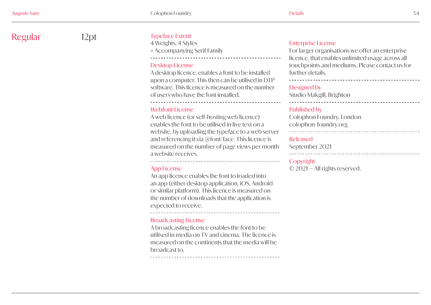Regular 12pt

# Typeface Extent

4 Weights, 4 Styles + Accompanying Serif Family  $\overline{a}$ 

# Desktop License

A desktop licence, enables a font to be installed upon a computer. This then can be utilised in DTP software. This licence is measured on the number of users who have the font installed.

# Webfont License

<u>.</u>

 $\overline{a}$ 

<u>.</u>

 $\overline{a}$ 

A web licence (or self-hosting web licence) enables the font to be utilised in live text on a website, by uploading the typeface to a web server and referencing it via @font-face. This licence is measured on the number of page views per month a website receives.

# App License

An app licence enables the font to loaded into an app (either desktop application, iOS, Android or similar platform). This licence is measured on the number of downloads that the application is expected to receive.

# Broadcasting License

A broadcasting licence enables the font to be utilised in media on TV and cinema. The licence is measured on the continents that the media will be broadcast to.

# Enterprise License

For larger organisations we offer an enterprise licence, that enables unlimited usage across all touchpoints and mediums. Please contact us for further details.

# -------------Designed by

 $\overline{a}$ 

 $\overline{a}$ 

 $\overline{a}$ 

Studio Makgill, Brighton

# Published by

Colophon Foundry, London colophon-foundry.org

#### -------------------------

# Released

September 2021

# $\overline{a}$

#### Copyright

© 2021 — All rights reserved.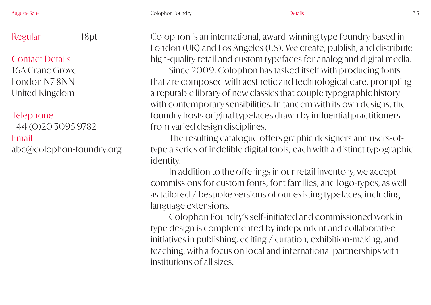# Regular

Contact Details 16A Crane Grove London N7 8NN United Kingdom

# **Telephone**

+44 (0)20 3095 9782 Email abc@colophon-foundry.org

18pt Colophon is an international, award-winning type foundry based in London (UK) and Los Angeles (US). We create, publish, and distribute high-quality retail and custom typefaces for analog and digital media.

> Since 2009, Colophon has tasked itself with producing fonts that are composed with aesthetic and technological care, prompting a reputable library of new classics that couple typographic history with contemporary sensibilities. In tandem with its own designs, the foundry hosts original typefaces drawn by influential practitioners from varied design disciplines.

> The resulting catalogue offers graphic designers and users-oftype a series of indelible digital tools, each with a distinct typographic identity.

In addition to the offerings in our retail inventory, we accept commissions for custom fonts, font families, and logo-types, as well as tailored / bespoke versions of our existing typefaces, including language extensions.

Colophon Foundry's self-initiated and commissioned work in type design is complemented by independent and collaborative initiatives in publishing, editing / curation, exhibition-making, and teaching, with a focus on local and international partnerships with institutions of all sizes.